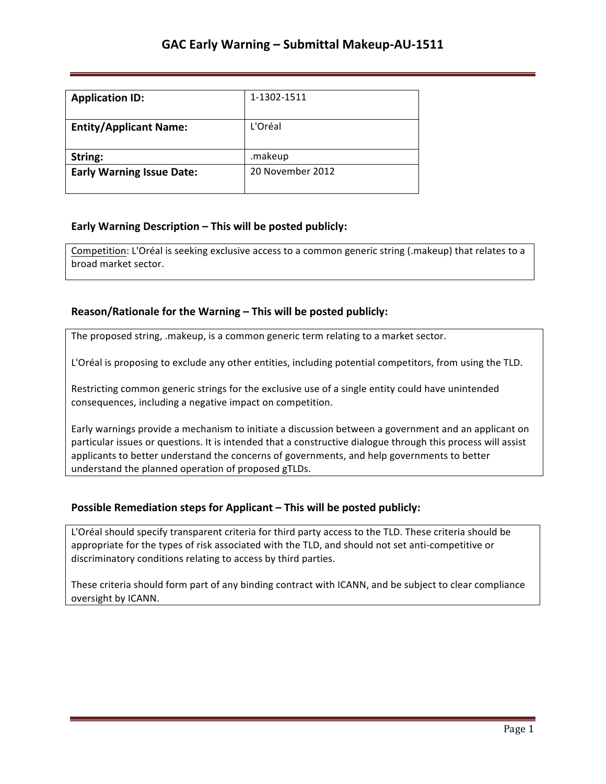| <b>Application ID:</b>           | 1-1302-1511      |
|----------------------------------|------------------|
| <b>Entity/Applicant Name:</b>    | L'Oréal          |
| String:                          | .makeup          |
| <b>Early Warning Issue Date:</b> | 20 November 2012 |

## **Early Warning Description – This will be posted publicly:**

Competition: L'Oréal is seeking exclusive access to a common generic string (.makeup) that relates to a broad market sector.

### **Reason/Rationale for the Warning – This will be posted publicly:**

The proposed string, .makeup, is a common generic term relating to a market sector.

L'Oréal is proposing to exclude any other entities, including potential competitors, from using the TLD.

Restricting common generic strings for the exclusive use of a single entity could have unintended consequences, including a negative impact on competition.

Early warnings provide a mechanism to initiate a discussion between a government and an applicant on particular issues or questions. It is intended that a constructive dialogue through this process will assist applicants to better understand the concerns of governments, and help governments to better understand the planned operation of proposed gTLDs.

#### **Possible Remediation steps for Applicant – This will be posted publicly:**

L'Oréal should specify transparent criteria for third party access to the TLD. These criteria should be appropriate for the types of risk associated with the TLD, and should not set anti-competitive or discriminatory conditions relating to access by third parties.

These criteria should form part of any binding contract with ICANN, and be subject to clear compliance oversight by ICANN.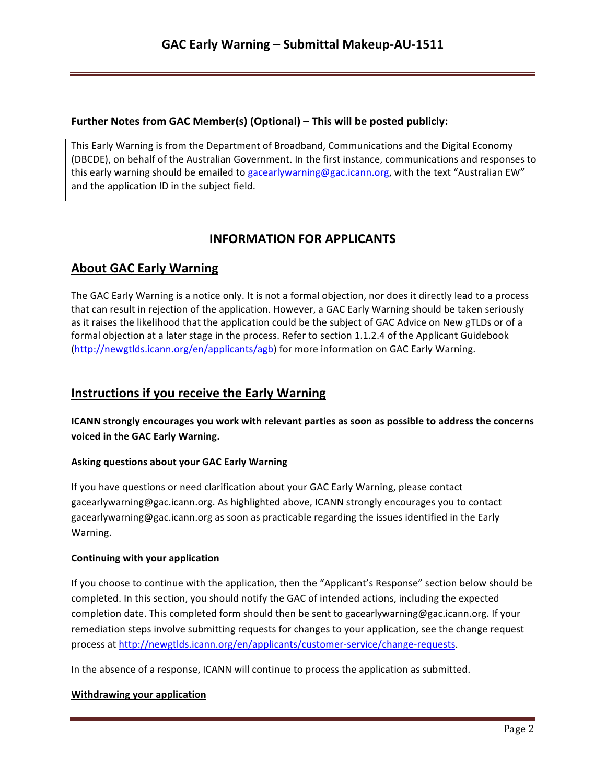## **Further Notes from GAC Member(s) (Optional) – This will be posted publicly:**

This Early Warning is from the Department of Broadband, Communications and the Digital Economy (DBCDE), on behalf of the Australian Government. In the first instance, communications and responses to this early warning should be emailed to gacearlywarning@gac.icann.org, with the text "Australian EW" and the application ID in the subject field.

# **INFORMATION FOR APPLICANTS**

# **About GAC Early Warning**

The GAC Early Warning is a notice only. It is not a formal objection, nor does it directly lead to a process that can result in rejection of the application. However, a GAC Early Warning should be taken seriously as it raises the likelihood that the application could be the subject of GAC Advice on New gTLDs or of a formal objection at a later stage in the process. Refer to section 1.1.2.4 of the Applicant Guidebook (http://newgtlds.icann.org/en/applicants/agb) for more information on GAC Early Warning.

## **Instructions if you receive the Early Warning**

**ICANN** strongly encourages you work with relevant parties as soon as possible to address the concerns voiced in the GAC Early Warning.

## **Asking questions about your GAC Early Warning**

If you have questions or need clarification about your GAC Early Warning, please contact gacearlywarning@gac.icann.org. As highlighted above, ICANN strongly encourages you to contact gacearlywarning@gac.icann.org as soon as practicable regarding the issues identified in the Early Warning. 

#### **Continuing with your application**

If you choose to continue with the application, then the "Applicant's Response" section below should be completed. In this section, you should notify the GAC of intended actions, including the expected completion date. This completed form should then be sent to gacearlywarning@gac.icann.org. If your remediation steps involve submitting requests for changes to your application, see the change request process at http://newgtlds.icann.org/en/applicants/customer-service/change-requests.

In the absence of a response, ICANN will continue to process the application as submitted.

#### **Withdrawing your application**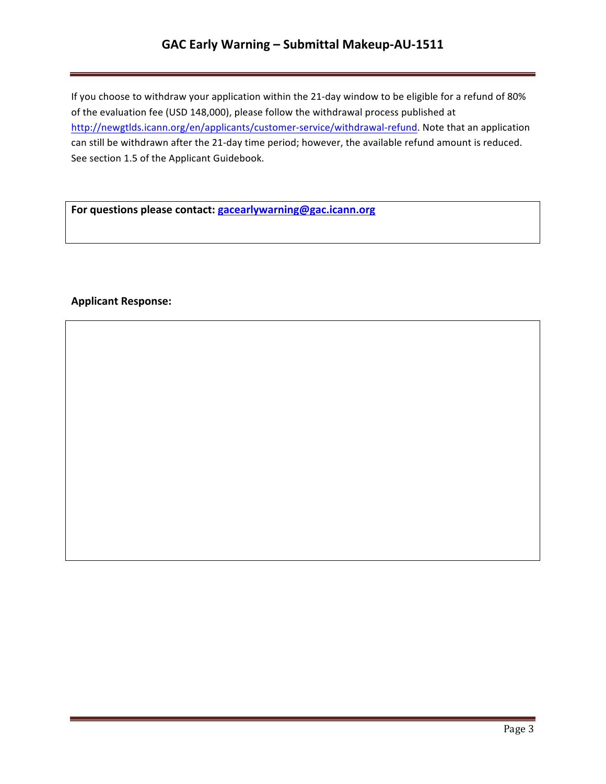## GAC Early Warning - Submittal Makeup-AU-1511

If you choose to withdraw your application within the 21-day window to be eligible for a refund of 80% of the evaluation fee (USD 148,000), please follow the withdrawal process published at http://newgtlds.icann.org/en/applicants/customer-service/withdrawal-refund. Note that an application can still be withdrawn after the 21-day time period; however, the available refund amount is reduced. See section 1.5 of the Applicant Guidebook.

For questions please contact: **gacearlywarning@gac.icann.org** 

### **Applicant Response:**